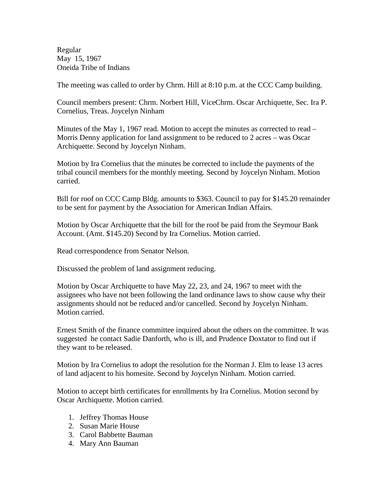Regular May 15, 1967 Oneida Tribe of Indians

The meeting was called to order by Chrm. Hill at 8:10 p.m. at the CCC Camp building.

Council members present: Chrm. Norbert Hill, ViceChrm. Oscar Archiquette, Sec. Ira P. Cornelius, Treas. Joycelyn Ninham

Minutes of the May 1, 1967 read. Motion to accept the minutes as corrected to read – Morris Denny application for land assignment to be reduced to 2 acres – was Oscar Archiquette. Second by Joycelyn Ninham.

Motion by Ira Cornelius that the minutes be corrected to include the payments of the tribal council members for the monthly meeting. Second by Joycelyn Ninham. Motion carried.

Bill for roof on CCC Camp Bldg. amounts to \$363. Council to pay for \$145.20 remainder to be sent for payment by the Association for American Indian Affairs.

Motion by Oscar Archiquette that the bill for the roof be paid from the Seymour Bank Account. (Amt. \$145.20) Second by Ira Cornelius. Motion carried.

Read correspondence from Senator Nelson.

Discussed the problem of land assignment reducing.

Motion by Oscar Archiquette to have May 22, 23, and 24, 1967 to meet with the assignees who have not been following the land ordinance laws to show cause why their assignments should not be reduced and/or cancelled. Second by Joycelyn Ninham. Motion carried.

Ernest Smith of the finance committee inquired about the others on the committee. It was suggested he contact Sadie Danforth, who is ill, and Prudence Doxtator to find out if they want to be released.

Motion by Ira Cornelius to adopt the resolution for the Norman J. Elm to lease 13 acres of land adjacent to his homesite. Second by Joycelyn Ninham. Motion carried.

Motion to accept birth certificates for enrollments by Ira Cornelius. Motion second by Oscar Archiquette. Motion carried.

- 1. Jeffrey Thomas House
- 2. Susan Marie House
- 3. Carol Babbette Bauman
- 4. Mary Ann Bauman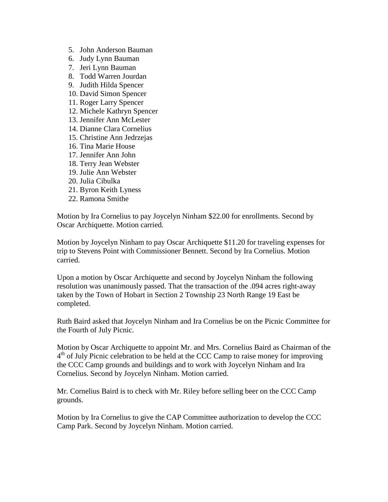- 5. John Anderson Bauman
- 6. Judy Lynn Bauman
- 7. Jeri Lynn Bauman
- 8. Todd Warren Jourdan
- 9. Judith Hilda Spencer
- 10. David Simon Spencer
- 11. Roger Larry Spencer
- 12. Michele Kathryn Spencer
- 13. Jennifer Ann McLester
- 14. Dianne Clara Cornelius
- 15. Christine Ann Jedrzejas
- 16. Tina Marie House
- 17. Jennifer Ann John
- 18. Terry Jean Webster
- 19. Julie Ann Webster
- 20. Julia Cibulka
- 21. Byron Keith Lyness
- 22. Ramona Smithe

Motion by Ira Cornelius to pay Joycelyn Ninham \$22.00 for enrollments. Second by Oscar Archiquette. Motion carried.

Motion by Joycelyn Ninham to pay Oscar Archiquette \$11.20 for traveling expenses for trip to Stevens Point with Commissioner Bennett. Second by Ira Cornelius. Motion carried.

Upon a motion by Oscar Archiquette and second by Joycelyn Ninham the following resolution was unanimously passed. That the transaction of the .094 acres right-away taken by the Town of Hobart in Section 2 Township 23 North Range 19 East be completed.

Ruth Baird asked that Joycelyn Ninham and Ira Cornelius be on the Picnic Committee for the Fourth of July Picnic.

Motion by Oscar Archiquette to appoint Mr. and Mrs. Cornelius Baird as Chairman of the  $4<sup>th</sup>$  of July Picnic celebration to be held at the CCC Camp to raise money for improving the CCC Camp grounds and buildings and to work with Joycelyn Ninham and Ira Cornelius. Second by Joycelyn Ninham. Motion carried.

Mr. Cornelius Baird is to check with Mr. Riley before selling beer on the CCC Camp grounds.

Motion by Ira Cornelius to give the CAP Committee authorization to develop the CCC Camp Park. Second by Joycelyn Ninham. Motion carried.